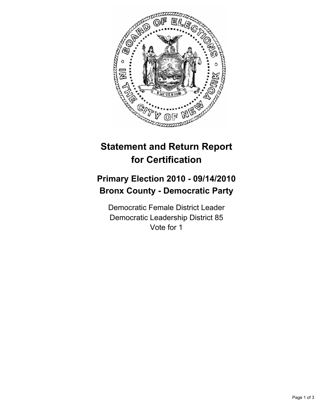

## **Statement and Return Report for Certification**

## **Primary Election 2010 - 09/14/2010 Bronx County - Democratic Party**

Democratic Female District Leader Democratic Leadership District 85 Vote for 1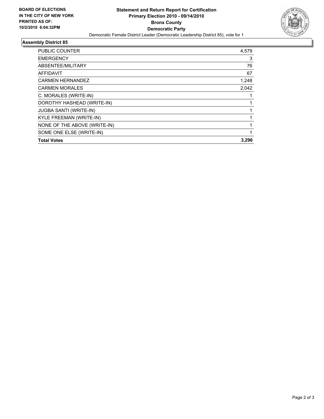

## **Assembly District 85**

| PUBLIC COUNTER                | 4,579 |
|-------------------------------|-------|
| <b>EMERGENCY</b>              | 3     |
| ABSENTEE/MILITARY             | 76    |
| <b>AFFIDAVIT</b>              | 67    |
| <b>CARMEN HERNANDEZ</b>       | 1,248 |
| <b>CARMEN MORALES</b>         | 2,042 |
| C. MORALES (WRITE-IN)         |       |
| DOROTHY HASHEAD (WRITE-IN)    |       |
| <b>JUGBA SANTI (WRITE-IN)</b> |       |
| KYLE FREEMAN (WRITE-IN)       |       |
| NONE OF THE ABOVE (WRITE-IN)  | 1     |
| SOME ONE ELSE (WRITE-IN)      |       |
| <b>Total Votes</b>            | 3,296 |